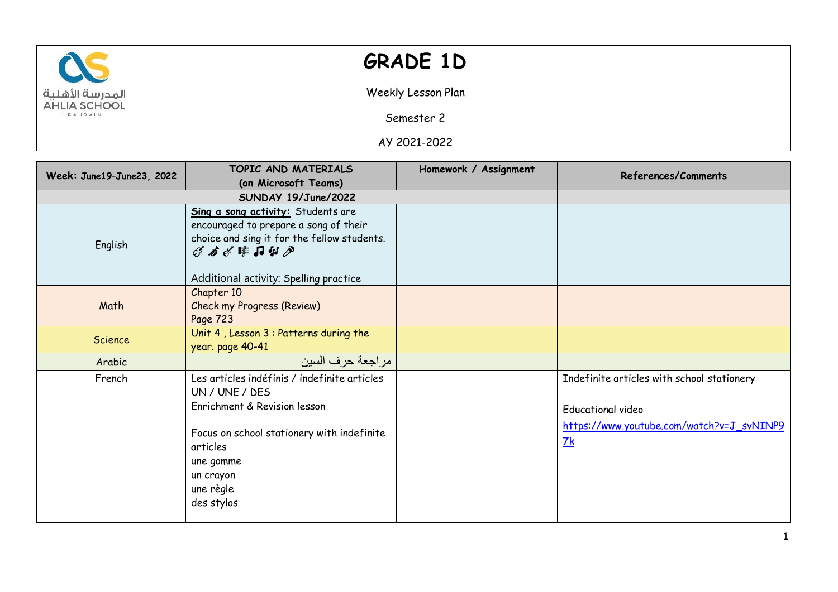

## **GRADE 1D**

Weekly Lesson Plan

Semester 2

AY 2021-2022

| Week: June19-June23, 2022 | TOPIC AND MATERIALS<br>(on Microsoft Teams)                                                                                                                                                                   | Homework / Assignment | References/Comments                                                                                                                   |
|---------------------------|---------------------------------------------------------------------------------------------------------------------------------------------------------------------------------------------------------------|-----------------------|---------------------------------------------------------------------------------------------------------------------------------------|
|                           | SUNDAY 19/June/2022                                                                                                                                                                                           |                       |                                                                                                                                       |
| English                   | Sing a song activity: Students are<br>encouraged to prepare a song of their<br>choice and sing it for the fellow students.<br>ダメダ昨日セグ<br>Additional activity: Spelling practice                               |                       |                                                                                                                                       |
| Math                      | Chapter 10<br><b>Check my Progress (Review)</b><br>Page 723                                                                                                                                                   |                       |                                                                                                                                       |
| Science                   | Unit 4, Lesson 3 : Patterns during the<br>year. page 40-41                                                                                                                                                    |                       |                                                                                                                                       |
| Arabic                    | مر اجعة حر ف السين                                                                                                                                                                                            |                       |                                                                                                                                       |
| French                    | Les articles indéfinis / indefinite articles<br>UN / UNE / DES<br>Enrichment & Revision lesson<br>Focus on school stationery with indefinite<br>articles<br>une gomme<br>un crayon<br>une règle<br>des stylos |                       | Indefinite articles with school stationery<br><b>Educational video</b><br>https://www.youtube.com/watch?v=J_svNINP9<br>$\frac{7k}{4}$ |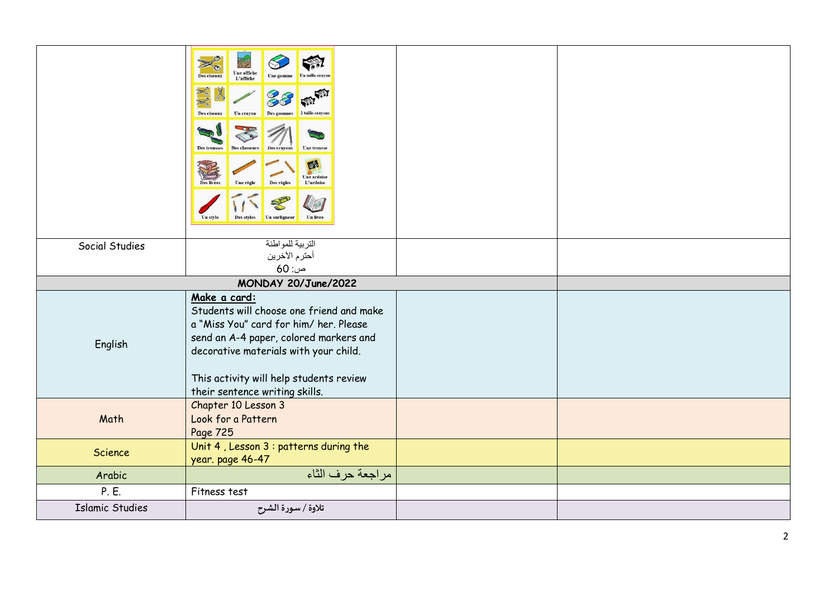|                        | $\gg$<br><b>Une affiche<br/>L'affiche</b><br>Des ciseaux<br>Xo<br>Des ciseaux<br>Un crayon<br>2 taille-crayon<br>Des trousses<br><b>Une trousse</b><br><b>Des classeurs</b><br><b>Des crayons</b><br>$e^c$<br><b>Une ardoise</b><br>Des règles<br>L'ardoise<br><b>Des livres</b><br>Une règle<br>$\frac{1}{2}$<br>Des stylos<br>Un surligneur<br>Un livre<br>Un style |  |
|------------------------|-----------------------------------------------------------------------------------------------------------------------------------------------------------------------------------------------------------------------------------------------------------------------------------------------------------------------------------------------------------------------|--|
|                        | التربية للمواطنة                                                                                                                                                                                                                                                                                                                                                      |  |
| Social Studies         | أحترم الأخرين                                                                                                                                                                                                                                                                                                                                                         |  |
|                        | $60:$ ص                                                                                                                                                                                                                                                                                                                                                               |  |
|                        |                                                                                                                                                                                                                                                                                                                                                                       |  |
|                        | MONDAY 20/June/2022                                                                                                                                                                                                                                                                                                                                                   |  |
| English                | Make a card:<br>Students will choose one friend and make<br>a "Miss You" card for him/ her. Please<br>send an A-4 paper, colored markers and<br>decorative materials with your child.                                                                                                                                                                                 |  |
|                        | This activity will help students review<br>their sentence writing skills.                                                                                                                                                                                                                                                                                             |  |
| Math                   | Chapter 10 Lesson 3<br>Look for a Pattern<br>Page 725                                                                                                                                                                                                                                                                                                                 |  |
| Science                | Unit 4, Lesson 3 : patterns during the<br>year. page 46-47                                                                                                                                                                                                                                                                                                            |  |
| Arabic                 | مراجعة حرف الثاء                                                                                                                                                                                                                                                                                                                                                      |  |
| P. E.                  | Fitness test                                                                                                                                                                                                                                                                                                                                                          |  |
| <b>Islamic Studies</b> | تلاوة / سورة الشرح                                                                                                                                                                                                                                                                                                                                                    |  |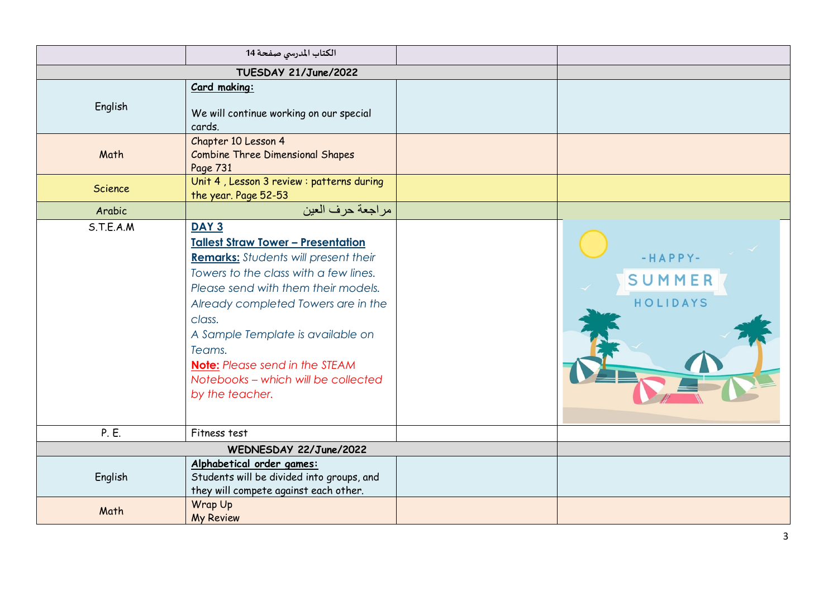|           | الكتاب المدرسي صفحة 14                                                                                                                                                                                                                                                                                                                                                                   |                               |
|-----------|------------------------------------------------------------------------------------------------------------------------------------------------------------------------------------------------------------------------------------------------------------------------------------------------------------------------------------------------------------------------------------------|-------------------------------|
|           | TUESDAY 21/June/2022                                                                                                                                                                                                                                                                                                                                                                     |                               |
| English   | Card making:<br>We will continue working on our special<br>cards.                                                                                                                                                                                                                                                                                                                        |                               |
| Math      | Chapter 10 Lesson 4<br><b>Combine Three Dimensional Shapes</b><br>Page 731                                                                                                                                                                                                                                                                                                               |                               |
| Science   | Unit 4, Lesson 3 review : patterns during<br>the year. Page 52-53                                                                                                                                                                                                                                                                                                                        |                               |
| Arabic    | مراجعة حرف العين                                                                                                                                                                                                                                                                                                                                                                         |                               |
| S.T.E.A.M | DAY <sub>3</sub><br><b>Tallest Straw Tower - Presentation</b><br><b>Remarks:</b> Students will present their<br>Towers to the class with a few lines.<br>Please send with them their models.<br>Already completed Towers are in the<br>class.<br>A Sample Template is available on<br>Teams.<br>Note: Please send in the STEAM<br>Notebooks - which will be collected<br>by the teacher. | -HAPPY-<br>SUMMER<br>HOLIDAYS |
| P. E.     | Fitness test                                                                                                                                                                                                                                                                                                                                                                             |                               |
|           | WEDNESDAY 22/June/2022                                                                                                                                                                                                                                                                                                                                                                   |                               |
| English   | Alphabetical order games:<br>Students will be divided into groups, and<br>they will compete against each other.                                                                                                                                                                                                                                                                          |                               |
| Math      | Wrap Up<br><b>My Review</b>                                                                                                                                                                                                                                                                                                                                                              |                               |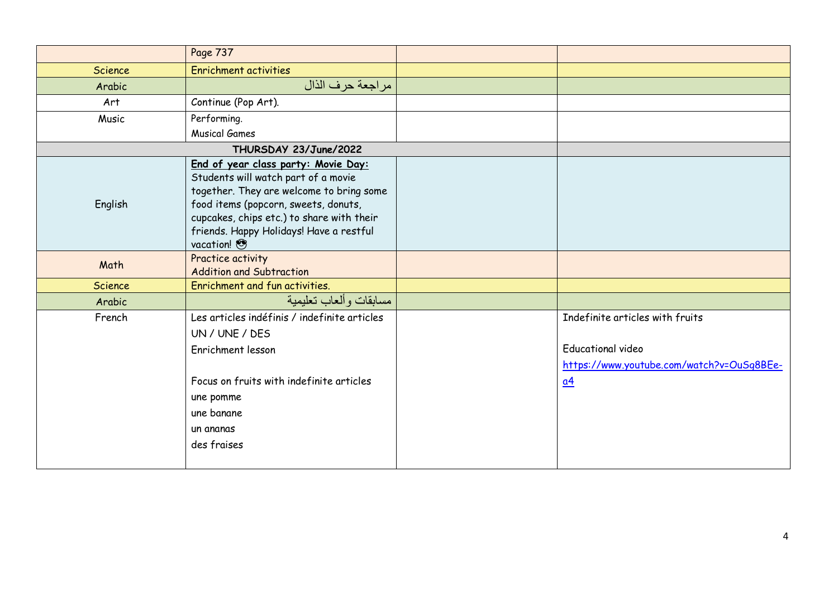|                | Page 737                                     |                                           |
|----------------|----------------------------------------------|-------------------------------------------|
| Science        | <b>Enrichment activities</b>                 |                                           |
| Arabic         | مراجعة حرف الذال                             |                                           |
| Art            | Continue (Pop Art).                          |                                           |
| Music          | Performing.                                  |                                           |
|                | <b>Musical Games</b>                         |                                           |
|                | THURSDAY 23/June/2022                        |                                           |
|                | End of year class party: Movie Day:          |                                           |
|                | Students will watch part of a movie          |                                           |
|                | together. They are welcome to bring some     |                                           |
| English        | food items (popcorn, sweets, donuts,         |                                           |
|                | cupcakes, chips etc.) to share with their    |                                           |
|                | friends. Happy Holidays! Have a restful      |                                           |
|                | vacation!                                    |                                           |
| Math           | Practice activity                            |                                           |
|                | <b>Addition and Subtraction</b>              |                                           |
| <b>Science</b> | Enrichment and fun activities.               |                                           |
| Arabic         | مسابقات وألعاب تعليمية                       |                                           |
| French         | Les articles indéfinis / indefinite articles | Indefinite articles with fruits           |
|                | UN / UNE / DES                               |                                           |
|                | Enrichment lesson                            | <b>Educational video</b>                  |
|                |                                              | https://www.youtube.com/watch?v=OuSq8BEe- |
|                | Focus on fruits with indefinite articles     | $\underline{a4}$                          |
|                | une pomme                                    |                                           |
|                | une banane                                   |                                           |
|                | un ananas                                    |                                           |
|                | des fraises                                  |                                           |
|                |                                              |                                           |